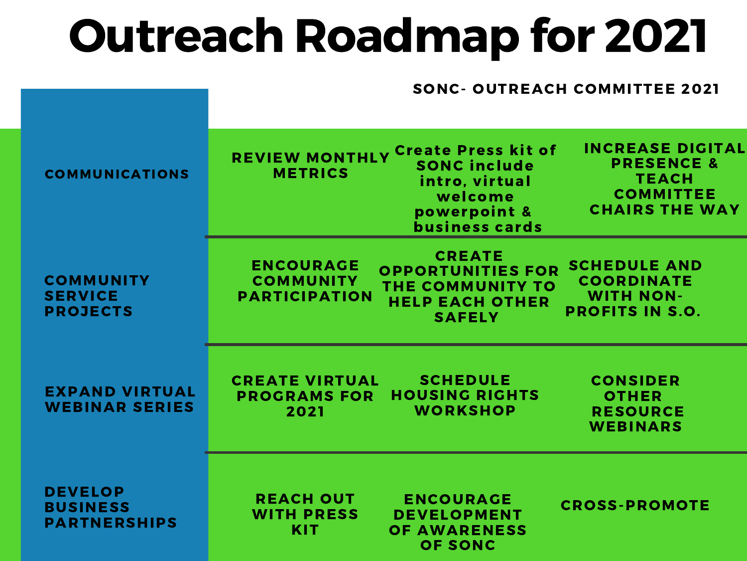## Outreach Roadmap for 2021

#### SONC- OUTREACH COMMITTEE 2021

| <b>COMMUNICATIONS</b>                                    | <b>INCREASE DIGITAL</b><br>REVIEW MONTHLY Create Press kit of<br><b>PRESENCE &amp;</b><br><b>SONC include</b><br><b>METRICS</b><br><b>TEACH</b><br>intro, virtual<br><b>COMMITTEE</b><br>welcome<br><b>CHAIRS THE WAY</b><br>powerpoint &<br><b>business cards</b> |
|----------------------------------------------------------|--------------------------------------------------------------------------------------------------------------------------------------------------------------------------------------------------------------------------------------------------------------------|
| <b>COMMUNITY</b><br><b>SERVICE</b><br><b>PROJECTS</b>    | <b>CREATE</b><br><b>SCHEDULE AND</b><br><b>ENCOURAGE</b><br><b>OPPORTUNITIES FOR</b><br><b>COORDINATE</b><br><b>COMMUNITY</b><br>THE COMMUNITY TO<br><b>WITH NON-</b><br><b>PARTICIPATION</b><br><b>HELP EACH OTHER</b><br><b>PROFITS IN S.O.</b><br><b>SAFELY</b> |
| <b>EXPAND VIRTUAL</b><br><b>WEBINAR SERIES</b>           | <b>SCHEDULE</b><br><b>CREATE VIRTUAL</b><br><b>CONSIDER</b><br><b>HOUSING RIGHTS</b><br><b>PROGRAMS FOR</b><br><b>OTHER</b><br><b>WORKSHOP</b><br>2021<br><b>RESOURCE</b><br><b>WEBINARS</b>                                                                       |
| <b>DEVELOP</b><br><b>BUSINESS</b><br><b>PARTNERSHIPS</b> | <b>REACH OUT</b><br><b>ENCOURAGE</b><br><b>CROSS-PROMOTE</b><br><b>WITH PRESS</b><br><b>DEVELOPMENT</b><br><b>KIT</b><br><b>OF AWARENESS</b><br><b>OF SONC</b>                                                                                                     |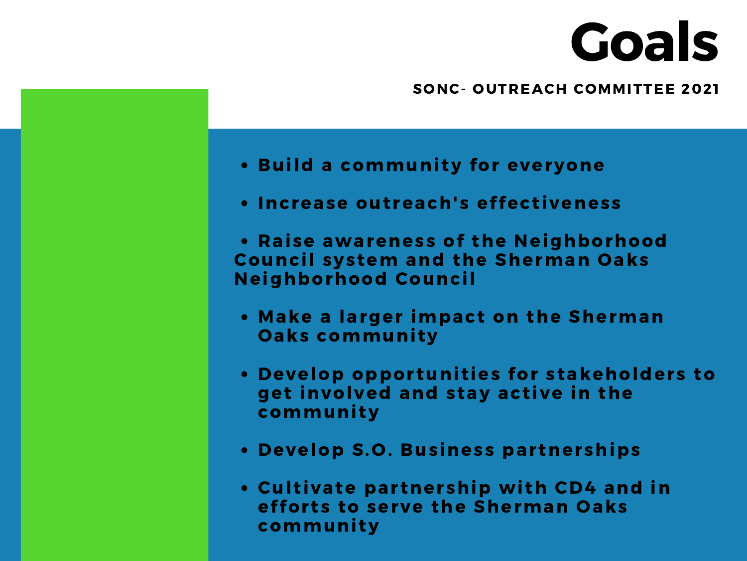# Goals

#### SONC- OUTREACH COMMITTEE 2021

- . Build a community for everyone
- Increase outreach's effectiveness
- Raise awareness of the Neighborhood Council system and the Sherman Oaks Neighborhood Council
- Make a larger impact on the Sherman **Oaks community**
- . Develop opportunities for stakeholders to get involved and stay active in the community
- Develop S.O. Business partnerships
- . Cultivate partnership with CD4 and in efforts to serve the Sherman Oaks community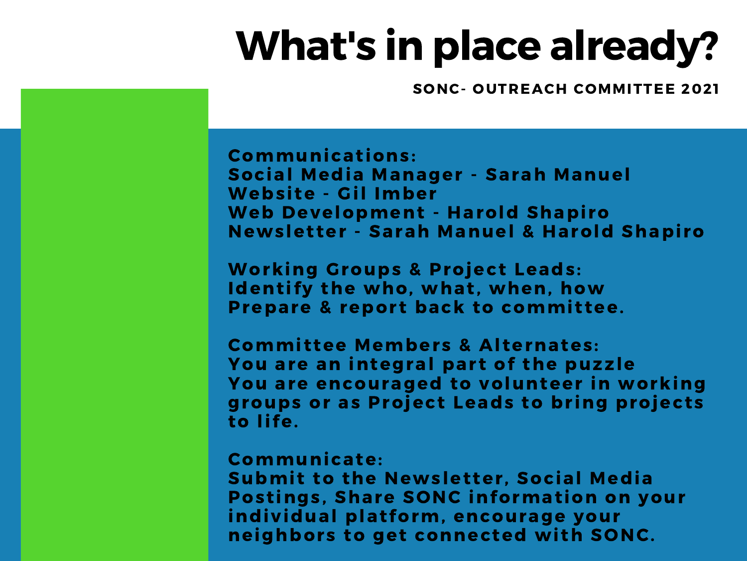### What's in place already?

SONC- OUTREACH COMMITTEE 2021

Communicat ions: Social Media Manager - Sarah Manuel Website - Gil Imber Web Development - Harold Shapiro Newsletter - Sarah Manuel & Harold Shapiro

Working Groups & Project Leads: Identify the who, what, when, how Prepare & report back to committee.

Committee Members & Alternates: You are an integral part of the puzzle You are encouraged to volunteer in working groups or as Project Leads to bring projects to life.

#### Communicate:

Submit to the Newsletter, Social Media Postings, Share SONC information on your individual platform, encourage your neighbors to get connected with SONC.